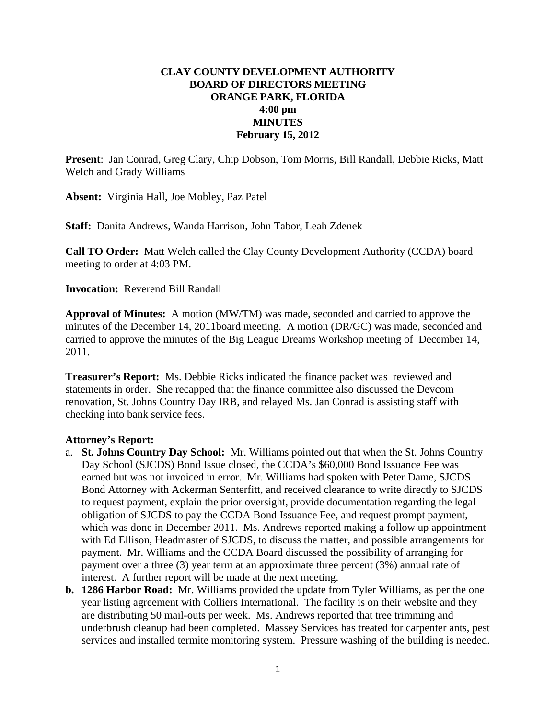## **CLAY COUNTY DEVELOPMENT AUTHORITY BOARD OF DIRECTORS MEETING ORANGE PARK, FLORIDA 4:00 pm MINUTES February 15, 2012**

**Present**: Jan Conrad, Greg Clary, Chip Dobson, Tom Morris, Bill Randall, Debbie Ricks, Matt Welch and Grady Williams

**Absent:** Virginia Hall, Joe Mobley, Paz Patel

**Staff:** Danita Andrews, Wanda Harrison, John Tabor, Leah Zdenek

**Call TO Order:** Matt Welch called the Clay County Development Authority (CCDA) board meeting to order at 4:03 PM.

**Invocation:** Reverend Bill Randall

**Approval of Minutes:** A motion (MW/TM) was made, seconded and carried to approve the minutes of the December 14, 2011board meeting. A motion (DR/GC) was made, seconded and carried to approve the minutes of the Big League Dreams Workshop meeting of December 14, 2011.

**Treasurer's Report:** Ms. Debbie Ricks indicated the finance packet was reviewed and statements in order. She recapped that the finance committee also discussed the Devcom renovation, St. Johns Country Day IRB, and relayed Ms. Jan Conrad is assisting staff with checking into bank service fees.

## **Attorney's Report:**

- a. **St. Johns Country Day School:** Mr. Williams pointed out that when the St. Johns Country Day School (SJCDS) Bond Issue closed, the CCDA's \$60,000 Bond Issuance Fee was earned but was not invoiced in error. Mr. Williams had spoken with Peter Dame, SJCDS Bond Attorney with Ackerman Senterfitt, and received clearance to write directly to SJCDS to request payment, explain the prior oversight, provide documentation regarding the legal obligation of SJCDS to pay the CCDA Bond Issuance Fee, and request prompt payment, which was done in December 2011. Ms. Andrews reported making a follow up appointment with Ed Ellison, Headmaster of SJCDS, to discuss the matter, and possible arrangements for payment. Mr. Williams and the CCDA Board discussed the possibility of arranging for payment over a three (3) year term at an approximate three percent (3%) annual rate of interest. A further report will be made at the next meeting.
- **b. 1286 Harbor Road:** Mr. Williams provided the update from Tyler Williams, as per the one year listing agreement with Colliers International. The facility is on their website and they are distributing 50 mail-outs per week. Ms. Andrews reported that tree trimming and underbrush cleanup had been completed. Massey Services has treated for carpenter ants, pest services and installed termite monitoring system. Pressure washing of the building is needed.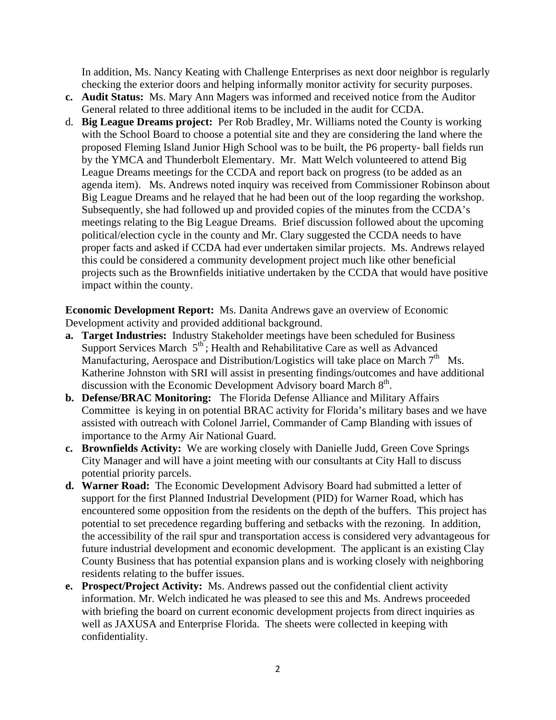In addition, Ms. Nancy Keating with Challenge Enterprises as next door neighbor is regularly checking the exterior doors and helping informally monitor activity for security purposes.

- **c. Audit Status:** Ms. Mary Ann Magers was informed and received notice from the Auditor General related to three additional items to be included in the audit for CCDA.
- d. **Big League Dreams project:** Per Rob Bradley, Mr. Williams noted the County is working with the School Board to choose a potential site and they are considering the land where the proposed Fleming Island Junior High School was to be built, the P6 property- ball fields run by the YMCA and Thunderbolt Elementary. Mr. Matt Welch volunteered to attend Big League Dreams meetings for the CCDA and report back on progress (to be added as an agenda item). Ms. Andrews noted inquiry was received from Commissioner Robinson about Big League Dreams and he relayed that he had been out of the loop regarding the workshop. Subsequently, she had followed up and provided copies of the minutes from the CCDA's meetings relating to the Big League Dreams. Brief discussion followed about the upcoming political/election cycle in the county and Mr. Clary suggested the CCDA needs to have proper facts and asked if CCDA had ever undertaken similar projects. Ms. Andrews relayed this could be considered a community development project much like other beneficial projects such as the Brownfields initiative undertaken by the CCDA that would have positive impact within the county.

**Economic Development Report:** Ms. Danita Andrews gave an overview of Economic Development activity and provided additional background.

- **a. Target Industries:** Industry Stakeholder meetings have been scheduled for Business Support Services March  $5<sup>th</sup>$ ; Health and Rehabilitative Care as well as Advanced Manufacturing, Aerospace and Distribution/Logistics will take place on March  $7<sup>th</sup>$  Ms. Katherine Johnston with SRI will assist in presenting findings/outcomes and have additional discussion with the Economic Development Advisory board March 8<sup>th</sup>.
- **b. Defense/BRAC Monitoring:** The Florida Defense Alliance and Military Affairs Committee is keying in on potential BRAC activity for Florida's military bases and we have assisted with outreach with Colonel Jarriel, Commander of Camp Blanding with issues of importance to the Army Air National Guard.
- **c. Brownfields Activity:** We are working closely with Danielle Judd, Green Cove Springs City Manager and will have a joint meeting with our consultants at City Hall to discuss potential priority parcels.
- **d. Warner Road:** The Economic Development Advisory Board had submitted a letter of support for the first Planned Industrial Development (PID) for Warner Road, which has encountered some opposition from the residents on the depth of the buffers. This project has potential to set precedence regarding buffering and setbacks with the rezoning. In addition, the accessibility of the rail spur and transportation access is considered very advantageous for future industrial development and economic development. The applicant is an existing Clay County Business that has potential expansion plans and is working closely with neighboring residents relating to the buffer issues.
- **e. Prospect/Project Activity:** Ms. Andrews passed out the confidential client activity information. Mr. Welch indicated he was pleased to see this and Ms. Andrews proceeded with briefing the board on current economic development projects from direct inquiries as well as JAXUSA and Enterprise Florida. The sheets were collected in keeping with confidentiality.